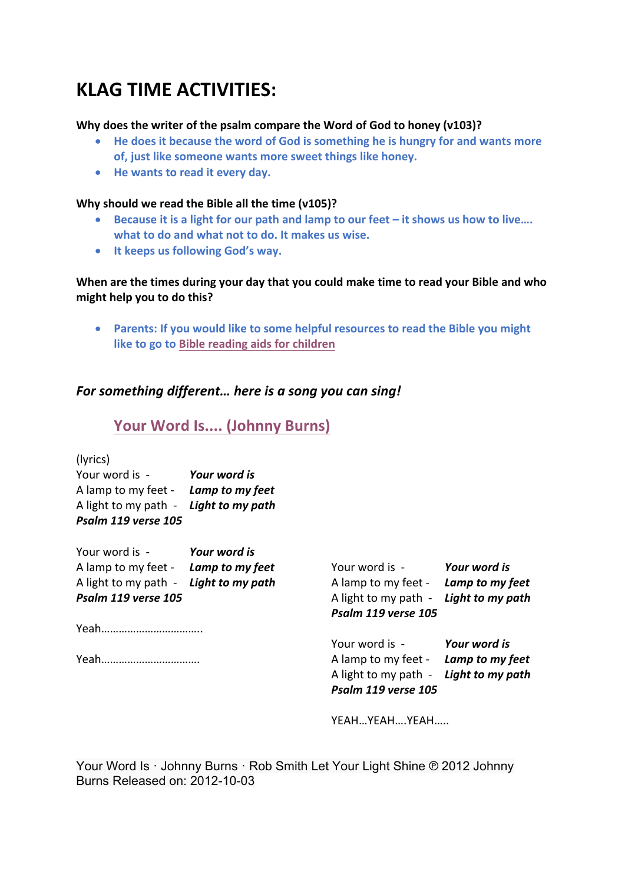# **KLAG TIME ACTIVITIES:**

### **Why does the writer of the psalm compare the Word of God to honey (v103)?**

- He does it because the word of God is something he is hungry for and wants more **of, just like someone wants more sweet things like honey.**
- He wants to read it every day.

#### **Why should we read the Bible all the time (v105)?**

- Because it is a light for our path and lamp to our feet it shows us how to live.... what to do and what not to do. It makes us wise.
- **It keeps us following God's way.**

### When are the times during your day that you could make time to read your Bible and who might help you to do this?

• Parents: If you would like to some helpful resources to read the Bible you might **like to go to Bible reading aids for children** 

### For something different... here is a song you can sing!

## Your Word Is.... (Johnny Burns)

| (lyrics |  |
|---------|--|

| Your word is -                        | Your word is |
|---------------------------------------|--------------|
| A lamp to my feet - Lamp to my feet   |              |
| A light to my path - Light to my path |              |
| Psalm 119 verse 105                   |              |

| Your word is - Your word is           |  |                                       |              |
|---------------------------------------|--|---------------------------------------|--------------|
| A lamp to my feet - Lamp to my feet   |  | Your word is -                        | Your word is |
| A light to my path - Light to my path |  | A lamp to my feet - Lamp to my feet   |              |
| Psalm 119 verse 105                   |  | A light to my path - Light to my path |              |
|                                       |  | Psalm 119 verse 105                   |              |
|                                       |  |                                       |              |
|                                       |  | Your word is -                        | Your word is |
|                                       |  | A lamp to my feet - Lamp to my feet   |              |

A lamp to my feet - Lamp to my feet A light to my path - **Light to my path** *Psalm 119 verse 105*

YEAH…YEAH….YEAH…..

Your Word Is · Johnny Burns · Rob Smith Let Your Light Shine ℗ 2012 Johnny Burns Released on: 2012-10-03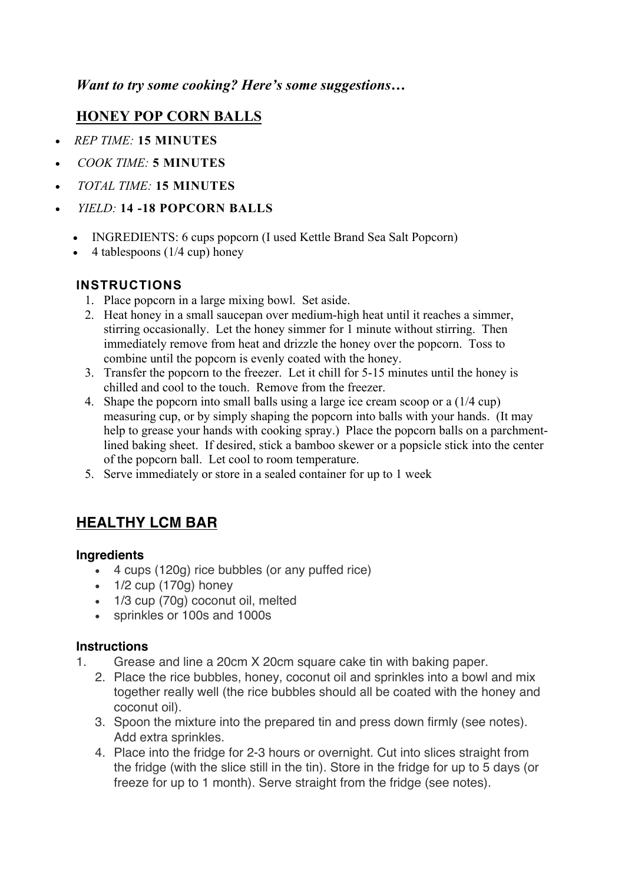## *Want to try some cooking? Here's some suggestions…*

## **HONEY POP CORN BALLS**

- *REP TIME:* **15 MINUTES**
- *COOK TIME:* **5 MINUTES**
- *TOTAL TIME:* **15 MINUTES**
- *YIELD:* **14 -18 POPCORN BALLS**
	- INGREDIENTS: 6 cups popcorn (I used Kettle Brand Sea Salt Popcorn)
	- $\bullet$  4 tablespoons (1/4 cup) honey

## **INSTRUCTIONS**

- 1. Place popcorn in a large mixing bowl. Set aside.
- 2. Heat honey in a small saucepan over medium-high heat until it reaches a simmer, stirring occasionally. Let the honey simmer for 1 minute without stirring. Then immediately remove from heat and drizzle the honey over the popcorn. Toss to combine until the popcorn is evenly coated with the honey.
- 3. Transfer the popcorn to the freezer. Let it chill for 5-15 minutes until the honey is chilled and cool to the touch. Remove from the freezer.
- 4. Shape the popcorn into small balls using a large ice cream scoop or a (1/4 cup) measuring cup, or by simply shaping the popcorn into balls with your hands. (It may help to grease your hands with cooking spray.) Place the popcorn balls on a parchmentlined baking sheet. If desired, stick a bamboo skewer or a popsicle stick into the center of the popcorn ball. Let cool to room temperature.
- 5. Serve immediately or store in a sealed container for up to 1 week

## **HEALTHY LCM BAR**

### **Ingredients**

- 4 cups (120g) rice bubbles (or any puffed rice)
- $\cdot$  1/2 cup (170g) honey
- 1/3 cup (70g) coconut oil, melted
- sprinkles or 100s and 1000s

## **Instructions**

- 1. Grease and line a 20cm X 20cm square cake tin with baking paper.
	- 2. Place the rice bubbles, honey, coconut oil and sprinkles into a bowl and mix together really well (the rice bubbles should all be coated with the honey and coconut oil).
	- 3. Spoon the mixture into the prepared tin and press down firmly (see notes). Add extra sprinkles.
	- 4. Place into the fridge for 2-3 hours or overnight. Cut into slices straight from the fridge (with the slice still in the tin). Store in the fridge for up to 5 days (or freeze for up to 1 month). Serve straight from the fridge (see notes).